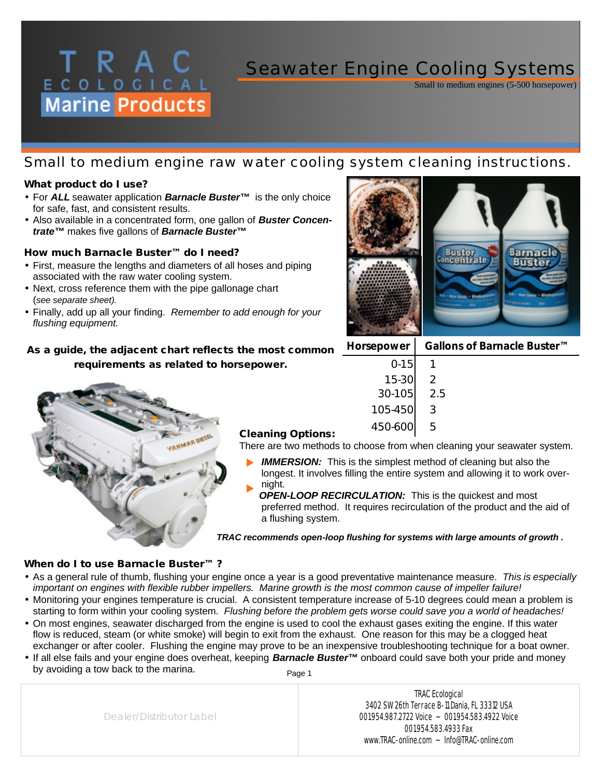## Seawater Engine Cooling Systems

Small to medium engines (5-500 horsepower)

## *Small to medium engine raw water cooling system cleaning instructions.*

#### *What product do I use?*

- For *ALL* seawater application *Barnacle Buster™* is the only choice for safe, fast, and consistent results.
- Also available in a concentrated form, one gallon of *Buster Concentrate™* makes five gallons of *Barnacle Buster™*

#### *How much Barnacle Buster™ do I need?*

ECOLOGICAL<br>Marine Products

- First, measure the lengths and diameters of all hoses and piping associated with the raw water cooling system.
- Next, cross reference them with the pipe gallonage chart (*see separate sheet).*
- Finally, add up all your finding. *Remember to add enough for your flushing equipment.*

## *As a guide, the adjacent chart reflects the most common requirements as related to horsepower.*



#### *Cleaning Options:*

There are two methods to choose from when cleaning your seawater system.

- **IMMERSION:** This is the simplest method of cleaning but also the longest. It involves filling the entire system and allowing it to work overnight.  $\blacktriangleright$
- *OPEN-LOOP RECIRCULATION:* This is the quickest and most preferred method. It requires recirculation of the product and the aid of a flushing system.  $\blacktriangleright$

*TRAC recommends open-loop flushing for systems with large amounts of growth .*

#### *When do I to use Barnacle Buster™ ?*

- As a general rule of thumb, flushing your engine once a year is a good preventative maintenance measure. *This is especially important on engines with flexible rubber impellers. Marine growth is the most common cause of impeller failure!*
- Monitoring your engines temperature is crucial. A consistent temperature increase of 5-10 degrees could mean a problem is starting to form within your cooling system. *Flushing before the problem gets worse could save you a world of headaches!*
- On most engines, seawater discharged from the engine is used to cool the exhaust gases exiting the engine. If this water flow is reduced, steam (or white smoke) will begin to exit from the exhaust. One reason for this may be a clogged heat exchanger or after cooler. Flushing the engine may prove to be an inexpensive troubleshooting technique for a boat owner.
- If all else fails and your engine does overheat, keeping *Barnacle Buster™* onboard could save both your pride and money by avoiding a tow back to the marina. Page 1

Dealer/Distributor Label

TRAC Ecological 3402 SW 26th Terrace B-11 Dania, FL 33312 USA 001.954.987.2722 Voice ~ 001.954.583.4922 Voice 001.954.583.4933 Fax www.TRAC-online.com ~ Info@TRAC-online.com



| Horsepower | Gallons of Barnacle Buster <sup>™</sup> |
|------------|-----------------------------------------|
| $0 - 15$   |                                         |
| 15-30      |                                         |
| 30-105     | 2.5                                     |
| 105-450    | 3                                       |
| 450-600    |                                         |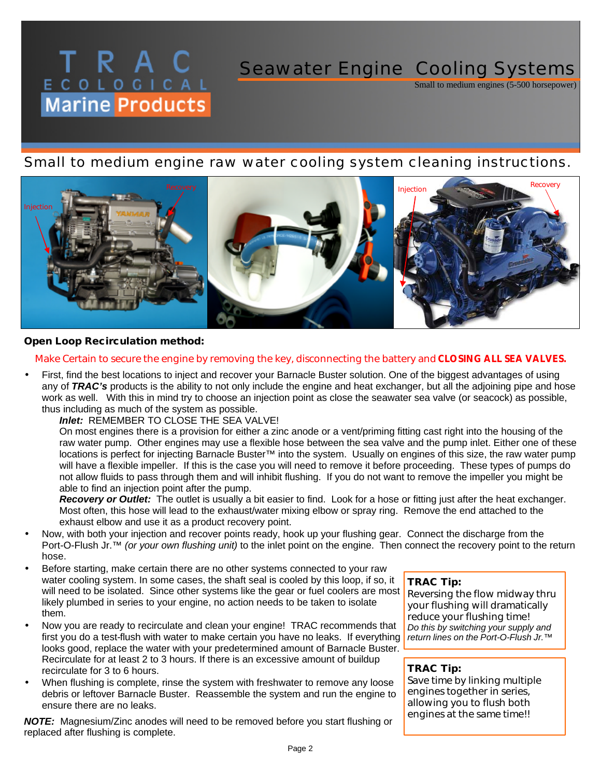# **T R A C**<br> **E** C O L O G I C A L<br> **Marine Products** Seawater Engine Cooling Systems

## *Small to medium engine raw water cooling system cleaning instructions.*



#### *Open Loop Recirculation method:*

#### *Make Certain to secure the engine by removing the key, disconnecting the battery and CLOSING ALL SEA VALVES.*

• First, find the best locations to inject and recover your Barnacle Buster solution. One of the biggest advantages of using any of *TRAC's* products is the ability to not only include the engine and heat exchanger, but all the adjoining pipe and hose work as well. With this in mind try to choose an injection point as close the seawater sea valve (or seacock) as possible, thus including as much of the system as possible.

*Inlet:* REMEMBER TO CLOSE THE SEA VALVE!

On most engines there is a provision for either a zinc anode or a vent/priming fitting cast right into the housing of the raw water pump. Other engines may use a flexible hose between the sea valve and the pump inlet. Either one of these locations is perfect for injecting Barnacle Buster™ into the system. Usually on engines of this size, the raw water pump will have a flexible impeller. If this is the case you will need to remove it before proceeding. These types of pumps do not allow fluids to pass through them and will inhibit flushing. If you do not want to remove the impeller you might be able to find an injection point after the pump.

*Recovery or Outlet:* The outlet is usually a bit easier to find. Look for a hose or fitting just after the heat exchanger. Most often, this hose will lead to the exhaust/water mixing elbow or spray ring. Remove the end attached to the exhaust elbow and use it as a product recovery point.

- Now, with both your injection and recover points ready, hook up your flushing gear. Connect the discharge from the Port-O-Flush Jr.™ *(or your own flushing unit)* to the inlet point on the engine. Then connect the recovery point to the return hose.
- Before starting, make certain there are no other systems connected to your raw water cooling system. In some cases, the shaft seal is cooled by this loop, if so, it will need to be isolated. Since other systems like the gear or fuel coolers are most likely plumbed in series to your engine, no action needs to be taken to isolate them.
- Now you are ready to recirculate and clean your engine! TRAC recommends that first you do a test-flush with water to make certain you have no leaks. If everything looks good, replace the water with your predetermined amount of Barnacle Buster. Recirculate for at least 2 to 3 hours. If there is an excessive amount of buildup recirculate for 3 to 6 hours.
- When flushing is complete, rinse the system with freshwater to remove any loose debris or leftover Barnacle Buster. Reassemble the system and run the engine to ensure there are no leaks.

*NOTE:* Magnesium/Zinc anodes will need to be removed before you start flushing or replaced after flushing is complete.

#### *TRAC Tip:*

*Reversing the flow midway thru your flushing will dramatically reduce your flushing time! Do this by switching your supply and return lines on the Port-O-Flush Jr.™* 

Small to medium engines (5-500 horsepower)

#### *TRAC Tip:*

*Save time by linking multiple engines together in series, allowing you to flush both engines at the same time!!*